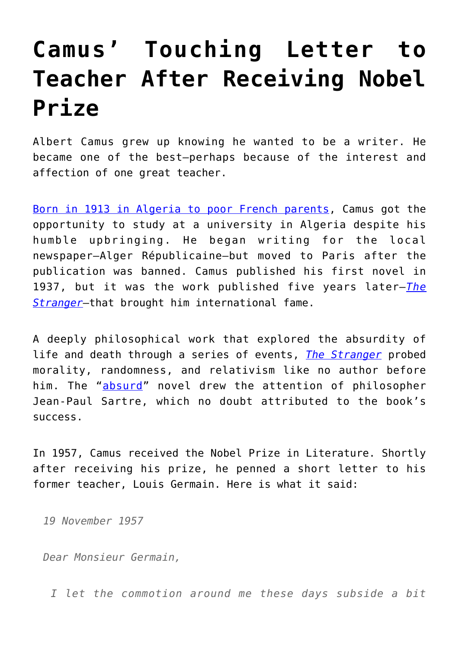## **[Camus' Touching Letter to](https://intellectualtakeout.org/2016/09/camus-touching-letter-to-teacher-after-receiving-nobel-prize/) [Teacher After Receiving Nobel](https://intellectualtakeout.org/2016/09/camus-touching-letter-to-teacher-after-receiving-nobel-prize/) [Prize](https://intellectualtakeout.org/2016/09/camus-touching-letter-to-teacher-after-receiving-nobel-prize/)**

Albert Camus grew up knowing he wanted to be a writer. He became one of the best—perhaps because of the interest and affection of one great teacher.

[Born in 1913 in Algeria to poor French parents](http://www.nobelprize.org/nobel_prizes/literature/laureates/1957/camus-facts.html), Camus got the opportunity to study at a university in Algeria despite his humble upbringing. He began writing for the local newspaper—Alger Républicaine—but moved to Paris after the publication was banned. Camus published his first novel in 1937, but it was the work published five years later—*[The](https://www.amazon.com/Stranger-Albert-Camus/dp/0679720200/ref=as_li_ss_tl?ie=UTF8&qid=1473877209&sr=8-1&keywords=The+Stranger&linkCode=sl1&tag=intelltakeo0d-20&linkId=747931c334be9309df9d02489c421e39) [Stranger](https://www.amazon.com/Stranger-Albert-Camus/dp/0679720200/ref=as_li_ss_tl?ie=UTF8&qid=1473877209&sr=8-1&keywords=The+Stranger&linkCode=sl1&tag=intelltakeo0d-20&linkId=747931c334be9309df9d02489c421e39)*—that brought him international fame.

A deeply philosophical work that explored the absurdity of life and death through a series of events, *[The Stranger](https://www.amazon.com/Stranger-Albert-Camus/dp/0679720200/ref=as_li_ss_tl?ie=UTF8&qid=1473877209&sr=8-1&keywords=The+Stranger&linkCode=sl1&tag=intelltakeo0d-20&linkId=747931c334be9309df9d02489c421e39)* probed morality, randomness, and relativism like no author before him. The "[absurd](https://www.jstor.org/stable/2928869?seq=1#page_scan_tab_contents)" novel drew the attention of philosopher Jean-Paul Sartre, which no doubt attributed to the book's success.

In 1957, Camus received the Nobel Prize in Literature. Shortly after receiving his prize, he penned a short letter to his former teacher, Louis Germain. Here is what it said:

*19 November 1957*

*Dear Monsieur Germain,*

 *I let the commotion around me these days subside a bit*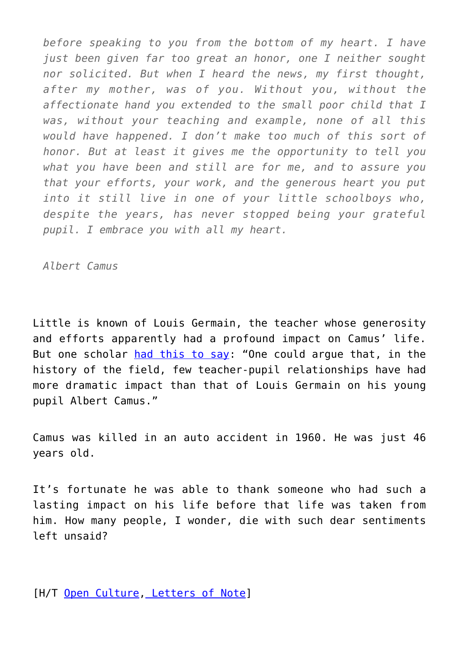*before speaking to you from the bottom of my heart. I have just been given far too great an honor, one I neither sought nor solicited. But when I heard the news, my first thought, after my mother, was of you. Without you, without the affectionate hand you extended to the small poor child that I was, without your teaching and example, none of all this would have happened. I don't make too much of this sort of honor. But at least it gives me the opportunity to tell you what you have been and still are for me, and to assure you that your efforts, your work, and the generous heart you put into it still live in one of your little schoolboys who, despite the years, has never stopped being your grateful pupil. I embrace you with all my heart.*

*Albert Camus*

Little is known of Louis Germain, the teacher whose generosity and efforts apparently had a profound impact on Camus' life. But one scholar [had this to say:](http://articles.chicagotribune.com/1997-03-21/news/9703210024_1_camus-life-louis-germain-camus-work) "One could arque that, in the history of the field, few teacher-pupil relationships have had more dramatic impact than that of Louis Germain on his young pupil Albert Camus."

Camus was killed in an auto accident in 1960. He was just 46 years old.

It's fortunate he was able to thank someone who had such a lasting impact on his life before that life was taken from him. How many people, I wonder, die with such dear sentiments left unsaid?

[H/T [Open Culture,](http://www.openculture.com/2014/05/albert-camus-sends-a-letter-of-gratitude-to-his-elementary-school-teacher-1957.html) [Letters of Note\]](http://www.lettersofnote.com/2013/11/i-embrace-you-with-all-my-heart.html)